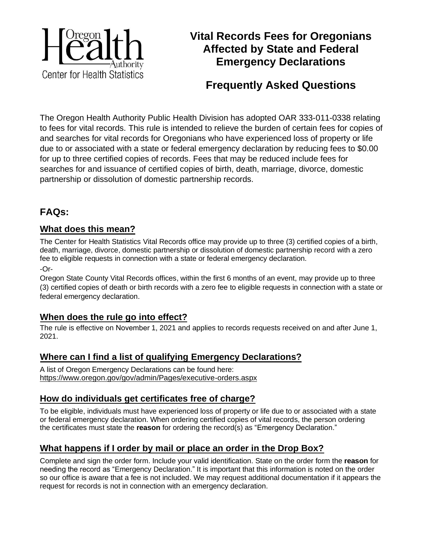

# **Vital Records Fees for Oregonians Affected by State and Federal Emergency Declarations**

# **Frequently Asked Questions**

The Oregon Health Authority Public Health Division has adopted OAR 333-011-0338 relating to fees for vital records. This rule is intended to relieve the burden of certain fees for copies of and searches for vital records for Oregonians who have experienced loss of property or life due to or associated with a state or federal emergency declaration by reducing fees to \$0.00 for up to three certified copies of records. Fees that may be reduced include fees for searches for and issuance of certified copies of birth, death, marriage, divorce, domestic partnership or dissolution of domestic partnership records.

# **FAQs:**

### **What does this mean?**

The Center for Health Statistics Vital Records office may provide up to three (3) certified copies of a birth, death, marriage, divorce, domestic partnership or dissolution of domestic partnership record with a zero fee to eligible requests in connection with a state or federal emergency declaration.

-Or-

Oregon State County Vital Records offices, within the first 6 months of an event, may provide up to three (3) certified copies of death or birth records with a zero fee to eligible requests in connection with a state or federal emergency declaration.

### **When does the rule go into effect?**

The rule is effective on November 1, 2021 and applies to records requests received on and after June 1, 2021.

# **Where can I find a list of qualifying Emergency Declarations?**

A list of Oregon Emergency Declarations can be found here: https://www.oregon.gov/gov/admin/Pages/executive-orders.aspx

# **How do individuals get certificates free of charge?**

To be eligible, individuals must have experienced loss of property or life due to or associated with a state or federal emergency declaration. When ordering certified copies of vital records, the person ordering the certificates must state the **reason** for ordering the record(s) as "Emergency Declaration."

# **What happens if I order by mail or place an order in the Drop Box?**

Complete and sign the order form. Include your valid identification. State on the order form the **reason** for needing the record as "Emergency Declaration." It is important that this information is noted on the order so our office is aware that a fee is not included. We may request additional documentation if it appears the request for records is not in connection with an emergency declaration.